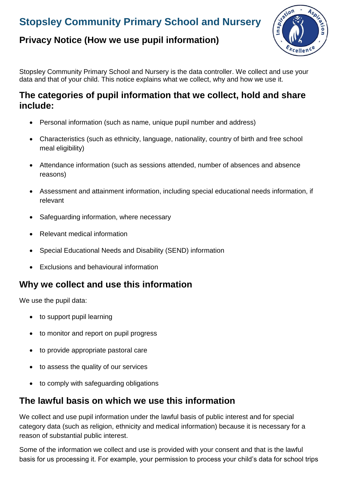# **Stopsley Community Primary School and Nursery**

### **Privacy Notice (How we use pupil information)**



Stopsley Community Primary School and Nursery is the data controller. We collect and use your data and that of your child. This notice explains what we collect, why and how we use it.

#### **The categories of pupil information that we collect, hold and share include:**

- Personal information (such as name, unique pupil number and address)
- Characteristics (such as ethnicity, language, nationality, country of birth and free school meal eligibility)
- Attendance information (such as sessions attended, number of absences and absence reasons)
- Assessment and attainment information, including special educational needs information, if relevant
- Safeguarding information, where necessary
- Relevant medical information
- Special Educational Needs and Disability (SEND) information
- Exclusions and behavioural information

### **Why we collect and use this information**

We use the pupil data:

- to support pupil learning
- to monitor and report on pupil progress
- to provide appropriate pastoral care
- to assess the quality of our services
- to comply with safeguarding obligations

#### **The lawful basis on which we use this information**

We collect and use pupil information under the lawful basis of public interest and for special category data (such as religion, ethnicity and medical information) because it is necessary for a reason of substantial public interest.

Some of the information we collect and use is provided with your consent and that is the lawful basis for us processing it. For example, your permission to process your child's data for school trips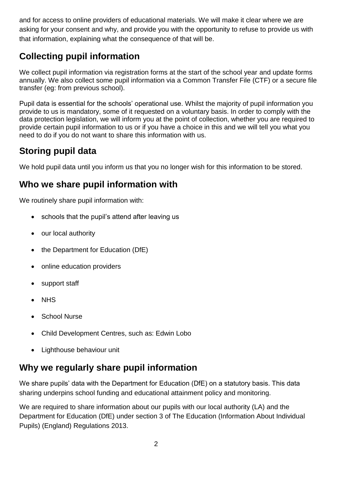and for access to online providers of educational materials. We will make it clear where we are asking for your consent and why, and provide you with the opportunity to refuse to provide us with that information, explaining what the consequence of that will be.

## **Collecting pupil information**

We collect pupil information via registration forms at the start of the school year and update forms annually. We also collect some pupil information via a Common Transfer File (CTF) or a secure file transfer (eg: from previous school).

Pupil data is essential for the schools' operational use. Whilst the majority of pupil information you provide to us is mandatory, some of it requested on a voluntary basis. In order to comply with the data protection legislation, we will inform you at the point of collection, whether you are required to provide certain pupil information to us or if you have a choice in this and we will tell you what you need to do if you do not want to share this information with us.

## **Storing pupil data**

We hold pupil data until you inform us that you no longer wish for this information to be stored.

## **Who we share pupil information with**

We routinely share pupil information with:

- schools that the pupil's attend after leaving us
- our local authority
- the Department for Education (DfE)
- online education providers
- support staff
- NHS
- School Nurse
- Child Development Centres, such as: Edwin Lobo
- Lighthouse behaviour unit

### **Why we regularly share pupil information**

We share pupils' data with the Department for Education (DfE) on a statutory basis. This data sharing underpins school funding and educational attainment policy and monitoring.

We are required to share information about our pupils with our local authority (LA) and the Department for Education (DfE) under section 3 of The Education (Information About Individual Pupils) (England) Regulations 2013.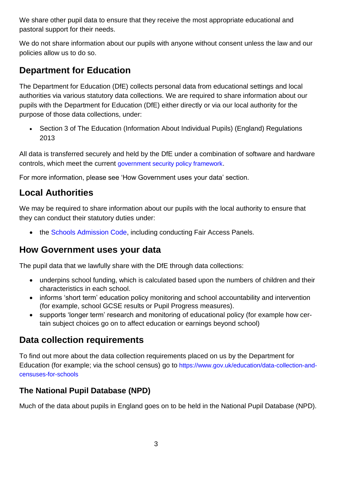We share other pupil data to ensure that they receive the most appropriate educational and pastoral support for their needs.

We do not share information about our pupils with anyone without consent unless the law and our policies allow us to do so.

## **Department for Education**

The Department for Education (DfE) collects personal data from educational settings and local authorities via various statutory data collections. We are required to share information about our pupils with the Department for Education (DfE) either directly or via our local authority for the purpose of those data collections, under:

• Section 3 of The Education (Information About Individual Pupils) (England) Regulations 2013

All data is transferred securely and held by the DfE under a combination of software and hardware controls, which meet the current [government security policy framework](https://www.gov.uk/government/publications/security-policy-framework).

For more information, please see 'How Government uses your data' section.

## **Local Authorities**

We may be required to share information about our pupils with the local authority to ensure that they can conduct their statutory duties under:

• the [Schools Admission Code,](https://www.gov.uk/government/publications/school-admissions-code--2) including conducting Fair Access Panels.

### **How Government uses your data**

The pupil data that we lawfully share with the DfE through data collections:

- underpins school funding, which is calculated based upon the numbers of children and their characteristics in each school.
- informs 'short term' education policy monitoring and school accountability and intervention (for example, school GCSE results or Pupil Progress measures).
- supports 'longer term' research and monitoring of educational policy (for example how certain subject choices go on to affect education or earnings beyond school)

### **Data collection requirements**

To find out more about the data collection requirements placed on us by the Department for Education (for example; via the school census) go to [https://www.gov.uk/education/data-collection-and](https://www.gov.uk/education/data-collection-and-censuses-for-schools)[censuses-for-schools](https://www.gov.uk/education/data-collection-and-censuses-for-schools)

### **The National Pupil Database (NPD)**

Much of the data about pupils in England goes on to be held in the National Pupil Database (NPD).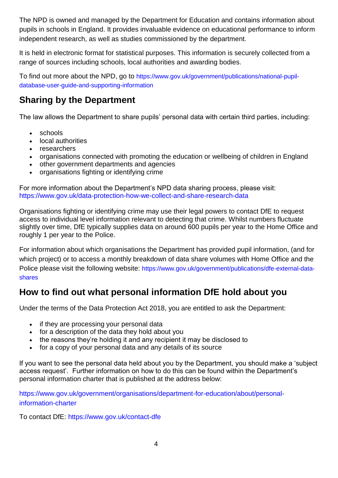The NPD is owned and managed by the Department for Education and contains information about pupils in schools in England. It provides invaluable evidence on educational performance to inform independent research, as well as studies commissioned by the department.

It is held in electronic format for statistical purposes. This information is securely collected from a range of sources including schools, local authorities and awarding bodies.

To find out more about the NPD, go to [https://www.gov.uk/government/publications/national-pupil](https://www.gov.uk/government/publications/national-pupil-database-user-guide-and-supporting-information)[database-user-guide-and-supporting-information](https://www.gov.uk/government/publications/national-pupil-database-user-guide-and-supporting-information)

## **Sharing by the Department**

The law allows the Department to share pupils' personal data with certain third parties, including:

- schools
- local authorities
- researchers
- organisations connected with promoting the education or wellbeing of children in England
- other government departments and agencies
- organisations fighting or identifying crime

For more information about the Department's NPD data sharing process, please visit: <https://www.gov.uk/data-protection-how-we-collect-and-share-research-data>

Organisations fighting or identifying crime may use their legal powers to contact DfE to request access to individual level information relevant to detecting that crime. Whilst numbers fluctuate slightly over time, DfE typically supplies data on around 600 pupils per year to the Home Office and roughly 1 per year to the Police.

For information about which organisations the Department has provided pupil information, (and for which project) or to access a monthly breakdown of data share volumes with Home Office and the Police please visit the following website: [https://www.gov.uk/government/publications/dfe-external-data](https://www.gov.uk/government/publications/dfe-external-data-shares)[shares](https://www.gov.uk/government/publications/dfe-external-data-shares)

### **How to find out what personal information DfE hold about you**

Under the terms of the Data Protection Act 2018, you are entitled to ask the Department:

- if they are processing your personal data
- for a description of the data they hold about you
- the reasons they're holding it and any recipient it may be disclosed to
- for a copy of your personal data and any details of its source

If you want to see the personal data held about you by the Department, you should make a 'subject access request'. Further information on how to do this can be found within the Department's personal information charter that is published at the address below:

[https://www.gov.uk/government/organisations/department-for-education/about/personal](https://www.gov.uk/government/organisations/department-for-education/about/personal-information-charter)[information-charter](https://www.gov.uk/government/organisations/department-for-education/about/personal-information-charter)

To contact DfE:<https://www.gov.uk/contact-dfe>